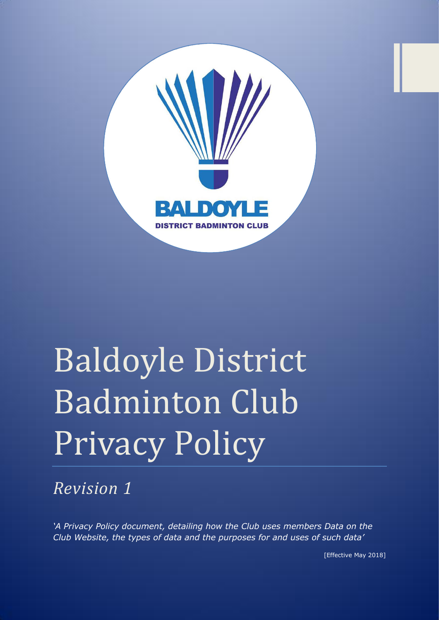

# Baldoyle District Badminton Club Privacy Policy

*Revision 1*

*'A Privacy Policy document, detailing how the Club uses members Data on the Club Website, the types of data and the purposes for and uses of such data'* 

[Effective May 2018]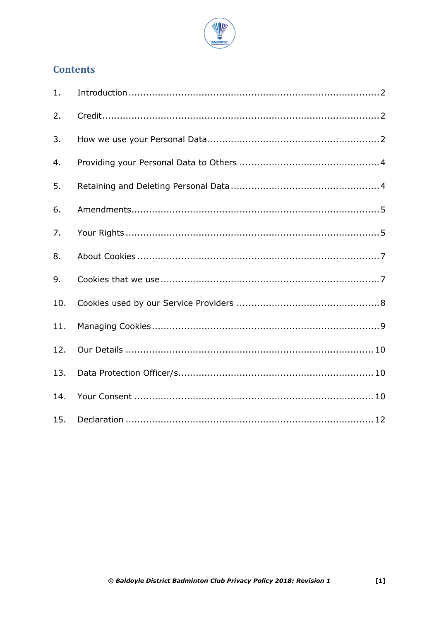

# **Contents**

| 1.  |  |
|-----|--|
| 2.  |  |
| 3.  |  |
| 4.  |  |
| 5.  |  |
| 6.  |  |
| 7.  |  |
| 8.  |  |
| 9.  |  |
| 10. |  |
| 11. |  |
| 12. |  |
| 13. |  |
| 14. |  |
| 15. |  |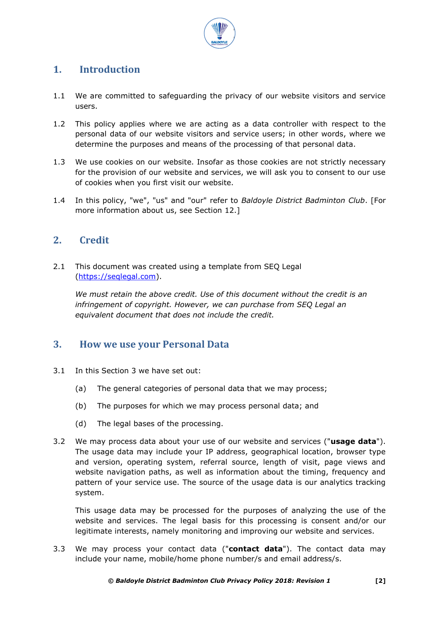

# <span id="page-2-0"></span>**1. Introduction**

- 1.1 We are committed to safeguarding the privacy of our website visitors and service users.
- 1.2 This policy applies where we are acting as a data controller with respect to the personal data of our website visitors and service users; in other words, where we determine the purposes and means of the processing of that personal data.
- 1.3 We use cookies on our website. Insofar as those cookies are not strictly necessary for the provision of our website and services, we will ask you to consent to our use of cookies when you first visit our website.
- 1.4 In this policy, "we", "us" and "our" refer to *Baldoyle District Badminton Club*. [For more information about us, see Section 12.]

## <span id="page-2-1"></span>**2. Credit**

2.1 This document was created using a template from SEQ Legal [\(https://seqlegal.com\)](https://seqlegal.com/).

*We must retain the above credit. Use of this document without the credit is an infringement of copyright. However, we can purchase from SEQ Legal an equivalent document that does not include the credit.*

## <span id="page-2-2"></span>**3. How we use your Personal Data**

- 3.1 In this Section 3 we have set out:
	- (a) The general categories of personal data that we may process;
	- (b) The purposes for which we may process personal data; and
	- (d) The legal bases of the processing.
- 3.2 We may process data about your use of our website and services ("**usage data**"). The usage data may include your IP address, geographical location, browser type and version, operating system, referral source, length of visit, page views and website navigation paths, as well as information about the timing, frequency and pattern of your service use. The source of the usage data is our analytics tracking system.

This usage data may be processed for the purposes of analyzing the use of the website and services. The legal basis for this processing is consent and/or our legitimate interests, namely monitoring and improving our website and services.

3.3 We may process your contact data ("**contact data**"). The contact data may include your name, mobile/home phone number/s and email address/s.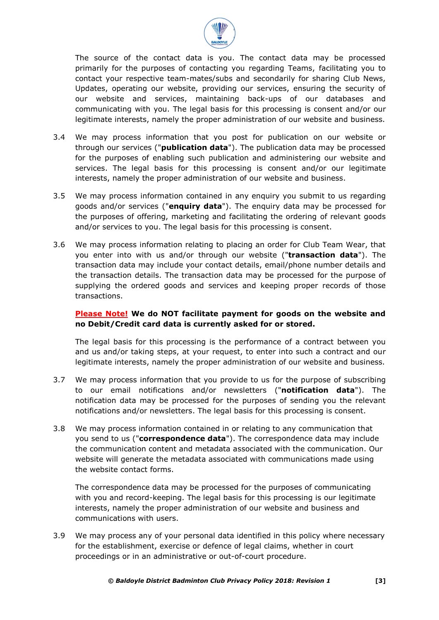

The source of the contact data is you. The contact data may be processed primarily for the purposes of contacting you regarding Teams, facilitating you to contact your respective team-mates/subs and secondarily for sharing Club News, Updates, operating our website, providing our services, ensuring the security of our website and services, maintaining back-ups of our databases and communicating with you. The legal basis for this processing is consent and/or our legitimate interests, namely the proper administration of our website and business.

- 3.4 We may process information that you post for publication on our website or through our services ("**publication data**"). The publication data may be processed for the purposes of enabling such publication and administering our website and services. The legal basis for this processing is consent and/or our legitimate interests, namely the proper administration of our website and business.
- 3.5 We may process information contained in any enquiry you submit to us regarding goods and/or services ("**enquiry data**"). The enquiry data may be processed for the purposes of offering, marketing and facilitating the ordering of relevant goods and/or services to you. The legal basis for this processing is consent.
- 3.6 We may process information relating to placing an order for Club Team Wear, that you enter into with us and/or through our website ("**transaction data**"). The transaction data may include your contact details, email/phone number details and the transaction details. The transaction data may be processed for the purpose of supplying the ordered goods and services and keeping proper records of those transactions.

#### **Please Note! We do NOT facilitate payment for goods on the website and no Debit/Credit card data is currently asked for or stored.**

The legal basis for this processing is the performance of a contract between you and us and/or taking steps, at your request, to enter into such a contract and our legitimate interests, namely the proper administration of our website and business.

- 3.7 We may process information that you provide to us for the purpose of subscribing to our email notifications and/or newsletters ("**notification data**"). The notification data may be processed for the purposes of sending you the relevant notifications and/or newsletters. The legal basis for this processing is consent.
- 3.8 We may process information contained in or relating to any communication that you send to us ("**correspondence data**"). The correspondence data may include the communication content and metadata associated with the communication. Our website will generate the metadata associated with communications made using the website contact forms.

The correspondence data may be processed for the purposes of communicating with you and record-keeping. The legal basis for this processing is our legitimate interests, namely the proper administration of our website and business and communications with users.

3.9 We may process any of your personal data identified in this policy where necessary for the establishment, exercise or defence of legal claims, whether in court proceedings or in an administrative or out-of-court procedure.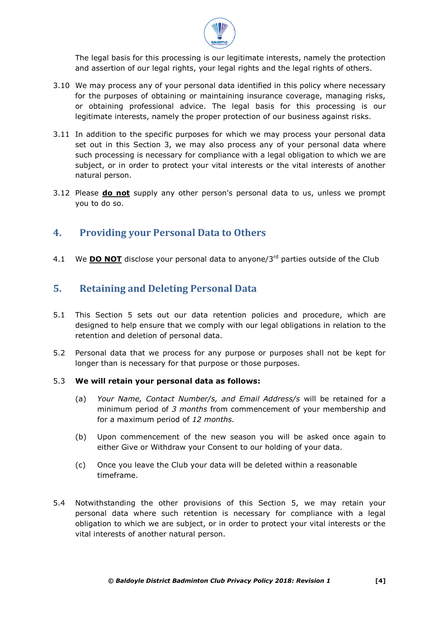

The legal basis for this processing is our legitimate interests, namely the protection and assertion of our legal rights, your legal rights and the legal rights of others.

- 3.10 We may process any of your personal data identified in this policy where necessary for the purposes of obtaining or maintaining insurance coverage, managing risks, or obtaining professional advice. The legal basis for this processing is our legitimate interests, namely the proper protection of our business against risks.
- 3.11 In addition to the specific purposes for which we may process your personal data set out in this Section 3, we may also process any of your personal data where such processing is necessary for compliance with a legal obligation to which we are subject, or in order to protect your vital interests or the vital interests of another natural person.
- 3.12 Please **do not** supply any other person's personal data to us, unless we prompt you to do so.

## <span id="page-4-0"></span>**4. Providing your Personal Data to Others**

4.1 We **DO NOT** disclose your personal data to anyone/3rd parties outside of the Club

# <span id="page-4-1"></span>**5. Retaining and Deleting Personal Data**

- 5.1 This Section 5 sets out our data retention policies and procedure, which are designed to help ensure that we comply with our legal obligations in relation to the retention and deletion of personal data.
- 5.2 Personal data that we process for any purpose or purposes shall not be kept for longer than is necessary for that purpose or those purposes.

#### 5.3 **We will retain your personal data as follows:**

- (a) *Your Name, Contact Number/s, and Email Address/s* will be retained for a minimum period of *3 months* from commencement of your membership and for a maximum period of *12 months.*
- (b) Upon commencement of the new season you will be asked once again to either Give or Withdraw your Consent to our holding of your data.
- (c) Once you leave the Club your data will be deleted within a reasonable timeframe.
- 5.4 Notwithstanding the other provisions of this Section 5, we may retain your personal data where such retention is necessary for compliance with a legal obligation to which we are subject, or in order to protect your vital interests or the vital interests of another natural person.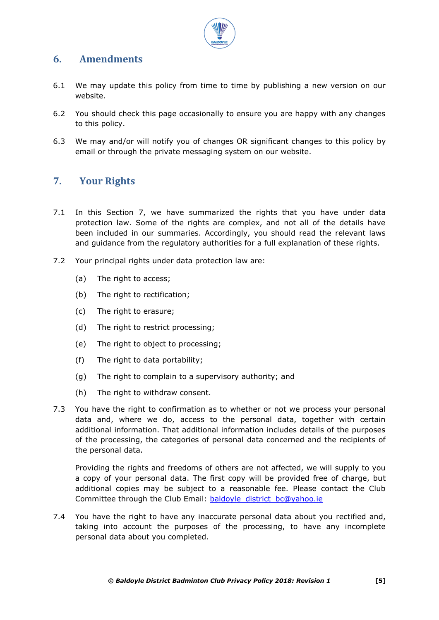

## <span id="page-5-0"></span>**6. Amendments**

- 6.1 We may update this policy from time to time by publishing a new version on our website.
- 6.2 You should check this page occasionally to ensure you are happy with any changes to this policy.
- 6.3 We may and/or will notify you of changes OR significant changes to this policy by email or through the private messaging system on our website.

## <span id="page-5-1"></span>**7. Your Rights**

- 7.1 In this Section 7, we have summarized the rights that you have under data protection law. Some of the rights are complex, and not all of the details have been included in our summaries. Accordingly, you should read the relevant laws and guidance from the regulatory authorities for a full explanation of these rights.
- 7.2 Your principal rights under data protection law are:
	- (a) The right to access:
	- (b) The right to rectification;
	- (c) The right to erasure;
	- (d) The right to restrict processing;
	- (e) The right to object to processing;
	- (f) The right to data portability;
	- (g) The right to complain to a supervisory authority; and
	- (h) The right to withdraw consent.
- 7.3 You have the right to confirmation as to whether or not we process your personal data and, where we do, access to the personal data, together with certain additional information. That additional information includes details of the purposes of the processing, the categories of personal data concerned and the recipients of the personal data.

Providing the rights and freedoms of others are not affected, we will supply to you a copy of your personal data. The first copy will be provided free of charge, but additional copies may be subject to a reasonable fee. Please contact the Club Committee through the Club Email: [baldoyle\\_district\\_bc@yahoo.ie](mailto:baldoyle_district_bc@yahoo.ie)

7.4 You have the right to have any inaccurate personal data about you rectified and, taking into account the purposes of the processing, to have any incomplete personal data about you completed.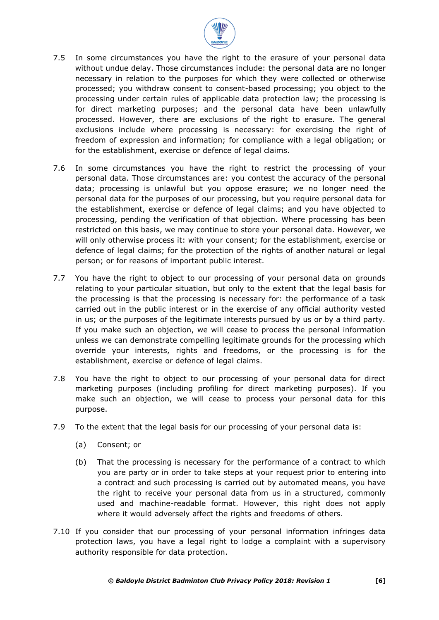

- 7.5 In some circumstances you have the right to the erasure of your personal data without undue delay. Those circumstances include: the personal data are no longer necessary in relation to the purposes for which they were collected or otherwise processed; you withdraw consent to consent-based processing; you object to the processing under certain rules of applicable data protection law; the processing is for direct marketing purposes; and the personal data have been unlawfully processed. However, there are exclusions of the right to erasure. The general exclusions include where processing is necessary: for exercising the right of freedom of expression and information; for compliance with a legal obligation; or for the establishment, exercise or defence of legal claims.
- 7.6 In some circumstances you have the right to restrict the processing of your personal data. Those circumstances are: you contest the accuracy of the personal data; processing is unlawful but you oppose erasure; we no longer need the personal data for the purposes of our processing, but you require personal data for the establishment, exercise or defence of legal claims; and you have objected to processing, pending the verification of that objection. Where processing has been restricted on this basis, we may continue to store your personal data. However, we will only otherwise process it: with your consent; for the establishment, exercise or defence of legal claims; for the protection of the rights of another natural or legal person; or for reasons of important public interest.
- 7.7 You have the right to object to our processing of your personal data on grounds relating to your particular situation, but only to the extent that the legal basis for the processing is that the processing is necessary for: the performance of a task carried out in the public interest or in the exercise of any official authority vested in us; or the purposes of the legitimate interests pursued by us or by a third party. If you make such an objection, we will cease to process the personal information unless we can demonstrate compelling legitimate grounds for the processing which override your interests, rights and freedoms, or the processing is for the establishment, exercise or defence of legal claims.
- 7.8 You have the right to object to our processing of your personal data for direct marketing purposes (including profiling for direct marketing purposes). If you make such an objection, we will cease to process your personal data for this purpose.
- 7.9 To the extent that the legal basis for our processing of your personal data is:
	- (a) Consent; or
	- (b) That the processing is necessary for the performance of a contract to which you are party or in order to take steps at your request prior to entering into a contract and such processing is carried out by automated means, you have the right to receive your personal data from us in a structured, commonly used and machine-readable format. However, this right does not apply where it would adversely affect the rights and freedoms of others.
- 7.10 If you consider that our processing of your personal information infringes data protection laws, you have a legal right to lodge a complaint with a supervisory authority responsible for data protection.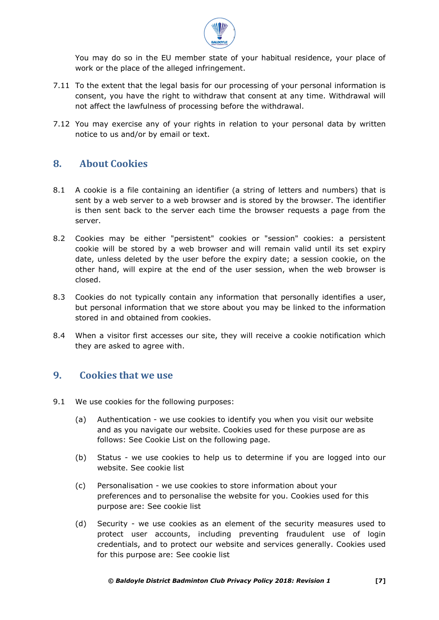

You may do so in the EU member state of your habitual residence, your place of work or the place of the alleged infringement.

- 7.11 To the extent that the legal basis for our processing of your personal information is consent, you have the right to withdraw that consent at any time. Withdrawal will not affect the lawfulness of processing before the withdrawal.
- 7.12 You may exercise any of your rights in relation to your personal data by written notice to us and/or by email or text.

## <span id="page-7-0"></span>**8. About Cookies**

- 8.1 A cookie is a file containing an identifier (a string of letters and numbers) that is sent by a web server to a web browser and is stored by the browser. The identifier is then sent back to the server each time the browser requests a page from the server.
- 8.2 Cookies may be either "persistent" cookies or "session" cookies: a persistent cookie will be stored by a web browser and will remain valid until its set expiry date, unless deleted by the user before the expiry date; a session cookie, on the other hand, will expire at the end of the user session, when the web browser is closed.
- 8.3 Cookies do not typically contain any information that personally identifies a user, but personal information that we store about you may be linked to the information stored in and obtained from cookies.
- 8.4 When a visitor first accesses our site, they will receive a cookie notification which they are asked to agree with.

## <span id="page-7-1"></span>**9. Cookies that we use**

- 9.1 We use cookies for the following purposes:
	- (a) Authentication we use cookies to identify you when you visit our website and as you navigate our website. Cookies used for these purpose are as follows: See Cookie List on the following page.
	- (b) Status we use cookies to help us to determine if you are logged into our website. See cookie list
	- (c) Personalisation we use cookies to store information about your preferences and to personalise the website for you. Cookies used for this purpose are: See cookie list
	- (d) Security we use cookies as an element of the security measures used to protect user accounts, including preventing fraudulent use of login credentials, and to protect our website and services generally. Cookies used for this purpose are: See cookie list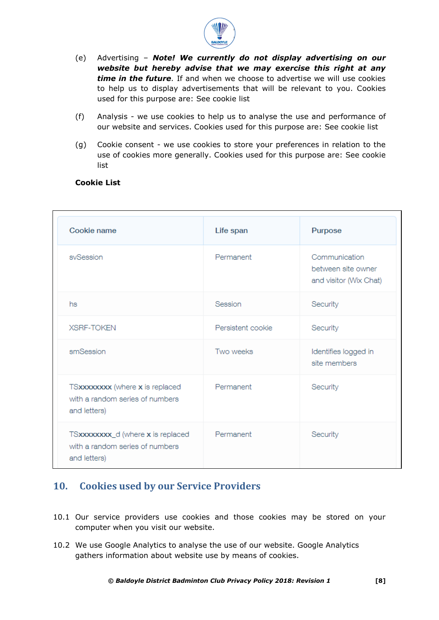

- (e) Advertising *Note! We currently do not display advertising on our website but hereby advise that we may exercise this right at any time in the future.* If and when we choose to advertise we will use cookies to help us to display advertisements that will be relevant to you. Cookies used for this purpose are: See cookie list
- (f) Analysis we use cookies to help us to analyse the use and performance of our website and services. Cookies used for this purpose are: See cookie list
- (g) Cookie consent we use cookies to store your preferences in relation to the use of cookies more generally. Cookies used for this purpose are: See cookie list

| Cookie name                                                                          | Life span         | Purpose                                                       |
|--------------------------------------------------------------------------------------|-------------------|---------------------------------------------------------------|
| svSession                                                                            | Permanent         | Communication<br>between site owner<br>and visitor (Wix Chat) |
| hs                                                                                   | Session           | Security                                                      |
| <b>XSRF-TOKEN</b>                                                                    | Persistent cookie | Security                                                      |
| smSession                                                                            | Two weeks         | Identifies logged in<br>site members                          |
| TSxxxxxxx (where x is replaced<br>with a random series of numbers<br>and letters)    | Permanent         | Security                                                      |
| TSxxxxxxxx_d (where x is replaced<br>with a random series of numbers<br>and letters) | Permanent         | Security                                                      |

#### **Cookie List**

# <span id="page-8-0"></span>**10. Cookies used by our Service Providers**

- 10.1 Our service providers use cookies and those cookies may be stored on your computer when you visit our website.
- 10.2 We use Google Analytics to analyse the use of our website. Google Analytics gathers information about website use by means of cookies.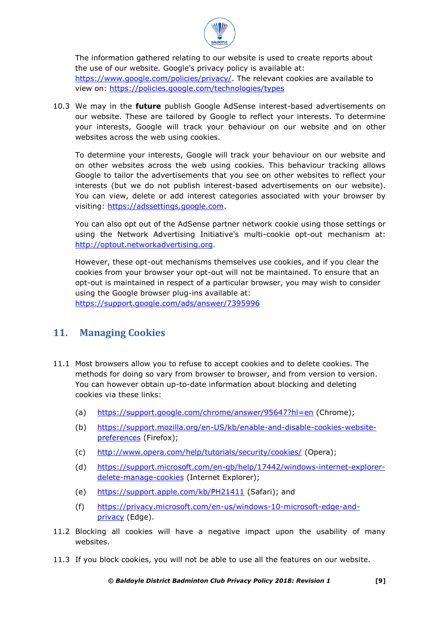

The information gathered relating to our website is used to create reports about the use of our website. Google's privacy policy is available at: [https://www.google.com/policies/privacy/.](https://www.google.com/policies/privacy/) The relevant cookies are available to view on: <https://policies.google.com/technologies/types>

10.3 We may in the **future** publish Google AdSense interest-based advertisements on our website. These are tailored by Google to reflect your interests. To determine your interests, Google will track your behaviour on our website and on other websites across the web using cookies.

To determine your interests, Google will track your behaviour on our website and on other websites across the web using cookies. This behaviour tracking allows Google to tailor the advertisements that you see on other websites to reflect your interests (but we do not publish interest-based advertisements on our website). You can view, delete or add interest categories associated with your browser by visiting: [https://adssettings.google.com.](https://adssettings.google.com/)

You can also opt out of the AdSense partner network cookie using those settings or using the Network Advertising Initiative's multi-cookie opt-out mechanism at: [http://optout.networkadvertising.org.](http://optout.networkadvertising.org/)

However, these opt-out mechanisms themselves use cookies, and if you clear the cookies from your browser your opt-out will not be maintained. To ensure that an opt-out is maintained in respect of a particular browser, you may wish to consider using the Google browser plug-ins available at:

<https://support.google.com/ads/answer/7395996>

## <span id="page-9-0"></span>**11. Managing Cookies**

- 11.1 Most browsers allow you to refuse to accept cookies and to delete cookies. The methods for doing so vary from browser to browser, and from version to version. You can however obtain up-to-date information about blocking and deleting cookies via these links:
	- (a) <https://support.google.com/chrome/answer/95647?hl=en> (Chrome);
	- (b) [https://support.mozilla.org/en-US/kb/enable-and-disable-cookies-website](https://support.mozilla.org/en-US/kb/enable-and-disable-cookies-website-preferences)[preferences](https://support.mozilla.org/en-US/kb/enable-and-disable-cookies-website-preferences) (Firefox);
	- (c) <http://www.opera.com/help/tutorials/security/cookies/> (Opera);
	- (d) [https://support.microsoft.com/en-gb/help/17442/windows-internet-explorer](https://support.microsoft.com/en-gb/help/17442/windows-internet-explorer-delete-manage-cookies)[delete-manage-cookies](https://support.microsoft.com/en-gb/help/17442/windows-internet-explorer-delete-manage-cookies) (Internet Explorer);
	- (e) <https://support.apple.com/kb/PH21411> (Safari); and
	- (f) [https://privacy.microsoft.com/en-us/windows-10-microsoft-edge-and](https://privacy.microsoft.com/en-us/windows-10-microsoft-edge-and-privacy)[privacy](https://privacy.microsoft.com/en-us/windows-10-microsoft-edge-and-privacy) (Edge).
- 11.2 Blocking all cookies will have a negative impact upon the usability of many websites.
- 11.3 If you block cookies, you will not be able to use all the features on our website.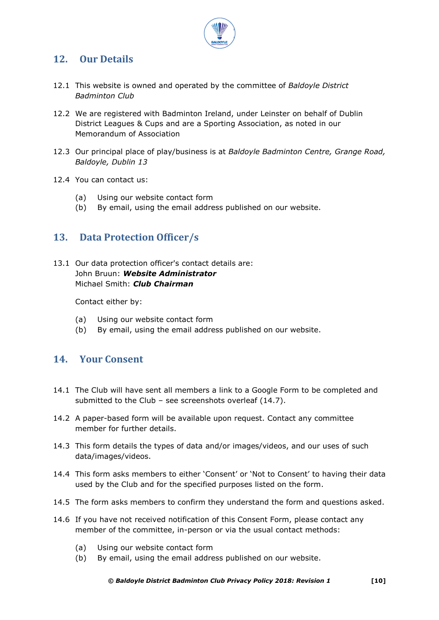

# <span id="page-10-0"></span>**12. Our Details**

- 12.1 This website is owned and operated by the committee of *Baldoyle District Badminton Club*
- 12.2 We are registered with Badminton Ireland, under Leinster on behalf of Dublin District Leagues & Cups and are a Sporting Association, as noted in our Memorandum of Association
- 12.3 Our principal place of play/business is at *Baldoyle Badminton Centre, Grange Road, Baldoyle, Dublin 13*
- 12.4 You can contact us:
	- (a) Using our website contact form
	- (b) By email, using the email address published on our website.

## <span id="page-10-1"></span>**13. Data Protection Officer/s**

13.1 Our data protection officer's contact details are: John Bruun: *Website Administrator* Michael Smith: *Club Chairman*

Contact either by:

- (a) Using our website contact form
- (b) By email, using the email address published on our website.

## <span id="page-10-2"></span>**14. Your Consent**

- 14.1 The Club will have sent all members a link to a Google Form to be completed and submitted to the Club – see screenshots overleaf (14.7).
- 14.2 A paper-based form will be available upon request. Contact any committee member for further details.
- 14.3 This form details the types of data and/or images/videos, and our uses of such data/images/videos.
- 14.4 This form asks members to either 'Consent' or 'Not to Consent' to having their data used by the Club and for the specified purposes listed on the form.
- 14.5 The form asks members to confirm they understand the form and questions asked.
- 14.6 If you have not received notification of this Consent Form, please contact any member of the committee, in-person or via the usual contact methods:
	- (a) Using our website contact form
	- (b) By email, using the email address published on our website.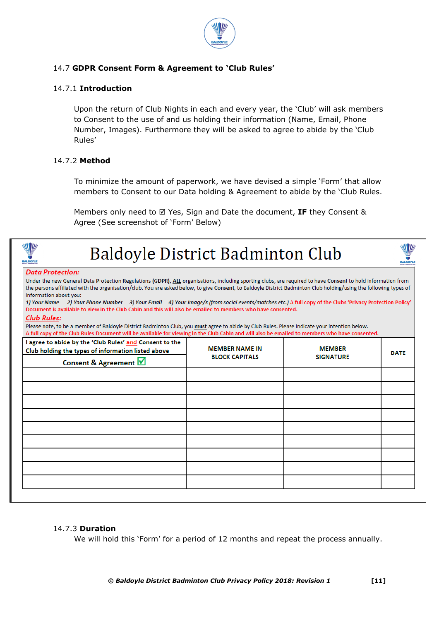

#### 14.7 **GDPR Consent Form & Agreement to 'Club Rules'**

#### 14.7.1 **Introduction**

Upon the return of Club Nights in each and every year, the 'Club' will ask members to Consent to the use of and us holding their information (Name, Email, Phone Number, Images). Furthermore they will be asked to agree to abide by the 'Club Rules'

#### 14.7.2 **Method**

To minimize the amount of paperwork, we have devised a simple 'Form' that allow members to Consent to our Data holding & Agreement to abide by the 'Club Rules.

Members only need to ⊠ Yes, Sign and Date the document, IF they Consent & Agree (See screenshot of 'Form' Below)

| <b>MEMBER NAME IN</b><br><b>BLOCK CAPITALS</b> | <b>MEMBER</b><br><b>SIGNATURE</b> | <b>DATE</b>                                                                                                                                                                                                                                                                                                                                                                                                                                                                                                                                                                                                                                                                                                                                                                                                                                                                                                                                               |
|------------------------------------------------|-----------------------------------|-----------------------------------------------------------------------------------------------------------------------------------------------------------------------------------------------------------------------------------------------------------------------------------------------------------------------------------------------------------------------------------------------------------------------------------------------------------------------------------------------------------------------------------------------------------------------------------------------------------------------------------------------------------------------------------------------------------------------------------------------------------------------------------------------------------------------------------------------------------------------------------------------------------------------------------------------------------|
|                                                |                                   |                                                                                                                                                                                                                                                                                                                                                                                                                                                                                                                                                                                                                                                                                                                                                                                                                                                                                                                                                           |
|                                                |                                   |                                                                                                                                                                                                                                                                                                                                                                                                                                                                                                                                                                                                                                                                                                                                                                                                                                                                                                                                                           |
|                                                |                                   |                                                                                                                                                                                                                                                                                                                                                                                                                                                                                                                                                                                                                                                                                                                                                                                                                                                                                                                                                           |
|                                                |                                   |                                                                                                                                                                                                                                                                                                                                                                                                                                                                                                                                                                                                                                                                                                                                                                                                                                                                                                                                                           |
|                                                |                                   |                                                                                                                                                                                                                                                                                                                                                                                                                                                                                                                                                                                                                                                                                                                                                                                                                                                                                                                                                           |
|                                                |                                   |                                                                                                                                                                                                                                                                                                                                                                                                                                                                                                                                                                                                                                                                                                                                                                                                                                                                                                                                                           |
|                                                |                                   | <b>Baldoyle District Badminton Club</b><br>Under the new General Data Protection Regulations (GDPR), ALL organisations, including sporting clubs, are required to have Consent to hold information from<br>the persons affiliated with the organisation/club. You are asked below, to give Consent, to Baldoyle District Badminton Club holding/using the following types of<br>1) Your Name 2) Your Phone Number 3) Your Email 4) Your Image/s (from social events/matches etc.) A full copy of the Clubs 'Privacy Protection Policy'<br>Document is available to view in the Club Cabin and this will also be emailed to members who have consented.<br>Please note, to be a member of Baldoyle District Badminton Club, you must agree to abide by Club Rules. Please indicate your intention below.<br>A full copy of the Club Rules Document will be available for viewing in the Club Cabin and will also be emailed to members who have consented. |

#### 14.7.3 **Duration**

We will hold this 'Form' for a period of 12 months and repeat the process annually.